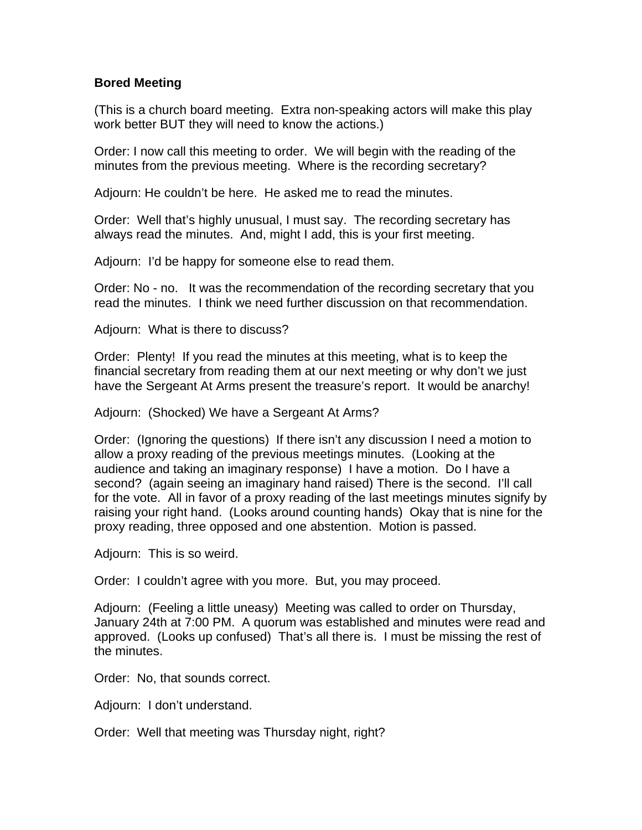## **Bored Meeting**

(This is a church board meeting. Extra non-speaking actors will make this play work better BUT they will need to know the actions.)

Order: I now call this meeting to order. We will begin with the reading of the minutes from the previous meeting. Where is the recording secretary?

Adjourn: He couldn't be here. He asked me to read the minutes.

Order: Well that's highly unusual, I must say. The recording secretary has always read the minutes. And, might I add, this is your first meeting.

Adjourn: I'd be happy for someone else to read them.

Order: No - no. It was the recommendation of the recording secretary that you read the minutes. I think we need further discussion on that recommendation.

Adjourn: What is there to discuss?

Order: Plenty! If you read the minutes at this meeting, what is to keep the financial secretary from reading them at our next meeting or why don't we just have the Sergeant At Arms present the treasure's report. It would be anarchy!

Adjourn: (Shocked) We have a Sergeant At Arms?

Order: (Ignoring the questions) If there isn't any discussion I need a motion to allow a proxy reading of the previous meetings minutes. (Looking at the audience and taking an imaginary response) I have a motion. Do I have a second? (again seeing an imaginary hand raised) There is the second. I'll call for the vote. All in favor of a proxy reading of the last meetings minutes signify by raising your right hand. (Looks around counting hands) Okay that is nine for the proxy reading, three opposed and one abstention. Motion is passed.

Adjourn: This is so weird.

Order: I couldn't agree with you more. But, you may proceed.

Adjourn: (Feeling a little uneasy) Meeting was called to order on Thursday, January 24th at 7:00 PM. A quorum was established and minutes were read and approved. (Looks up confused) That's all there is. I must be missing the rest of the minutes.

Order: No, that sounds correct.

Adjourn: I don't understand.

Order: Well that meeting was Thursday night, right?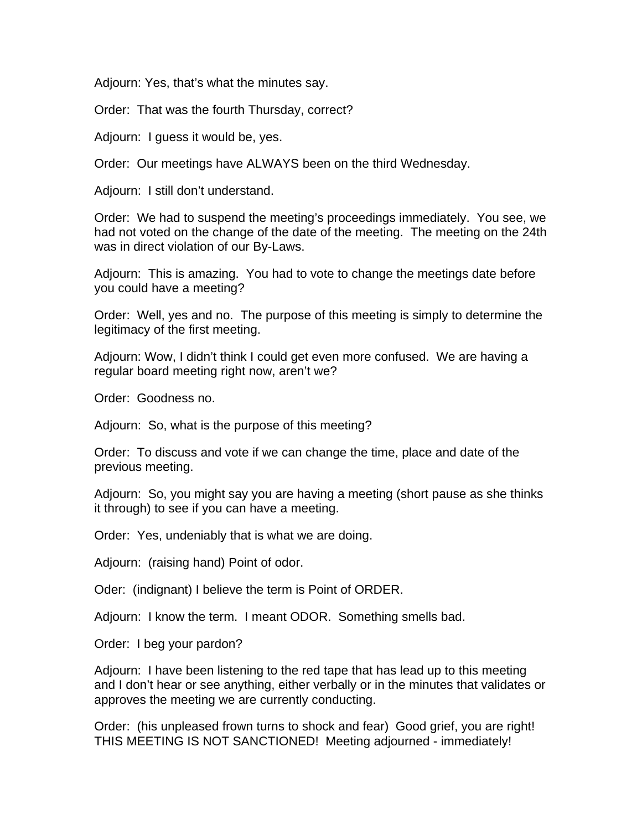Adjourn: Yes, that's what the minutes say.

Order: That was the fourth Thursday, correct?

Adjourn: I guess it would be, yes.

Order: Our meetings have ALWAYS been on the third Wednesday.

Adjourn: I still don't understand.

Order: We had to suspend the meeting's proceedings immediately. You see, we had not voted on the change of the date of the meeting. The meeting on the 24th was in direct violation of our By-Laws.

Adjourn: This is amazing. You had to vote to change the meetings date before you could have a meeting?

Order: Well, yes and no. The purpose of this meeting is simply to determine the legitimacy of the first meeting.

Adjourn: Wow, I didn't think I could get even more confused. We are having a regular board meeting right now, aren't we?

Order: Goodness no.

Adjourn: So, what is the purpose of this meeting?

Order: To discuss and vote if we can change the time, place and date of the previous meeting.

Adjourn: So, you might say you are having a meeting (short pause as she thinks it through) to see if you can have a meeting.

Order: Yes, undeniably that is what we are doing.

Adjourn: (raising hand) Point of odor.

Oder: (indignant) I believe the term is Point of ORDER.

Adjourn: I know the term. I meant ODOR. Something smells bad.

Order: I beg your pardon?

Adjourn: I have been listening to the red tape that has lead up to this meeting and I don't hear or see anything, either verbally or in the minutes that validates or approves the meeting we are currently conducting.

Order: (his unpleased frown turns to shock and fear) Good grief, you are right! THIS MEETING IS NOT SANCTIONED! Meeting adjourned - immediately!